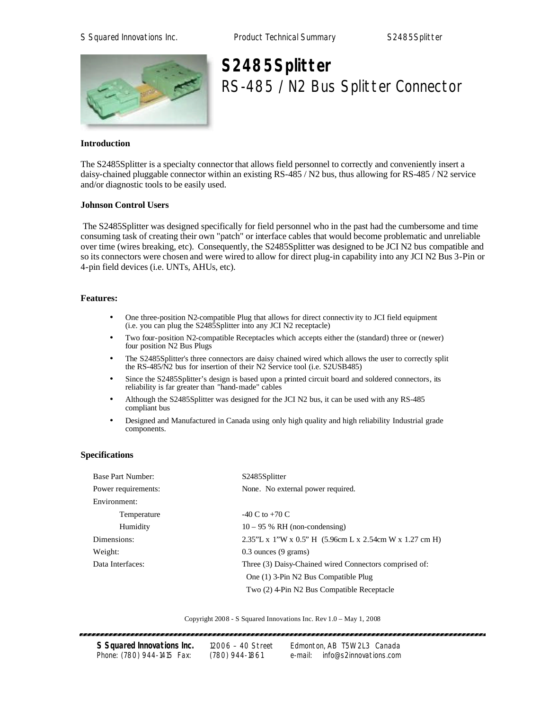

# **S2485Splitter** RS-485 / N2 Bus Splitter Connector

## **Introduction**

The S2485Splitter is a specialty connector that allows field personnel to correctly and conveniently insert a daisy-chained pluggable connector within an existing RS-485 / N2 bus, thus allowing for RS-485 / N2 service and/or diagnostic tools to be easily used.

## **Johnson Control Users**

 The S2485Splitter was designed specifically for field personnel who in the past had the cumbersome and time consuming task of creating their own "patch" or interface cables that would become problematic and unreliable over time (wires breaking, etc). Consequently, the S2485Splitter was designed to be JCI N2 bus compatible and so its connectors were chosen and were wired to allow for direct plug-in capability into any JCI N2 Bus 3-Pin or 4-pin field devices (i.e. UNTs, AHUs, etc).

### **Features:**

- One three-position N2-compatible Plug that allows for direct connectiv ity to JCI field equipment (i.e. you can plug the S2485Splitter into any JCI N2 receptacle)
- Two four-position N2-compatible Receptacles which accepts either the (standard) three or (newer) four position N2 Bus Plugs
- The S2485Splitter's three connectors are daisy chained wired which allows the user to correctly split the RS-485/N2 bus for insertion of their N2 Service tool (i.e. S2USB485)
- Since the S2485Splitter's design is based upon a printed circuit board and soldered connectors, its reliability is far greater than "hand-made" cables
- Although the S2485Splitter was designed for the JCI N2 bus, it can be used with any RS-485 compliant bus
- Designed and Manufactured in Canada using only high quality and high reliability Industrial grade components.

### **Specifications**

| <b>Base Part Number:</b> | S2485Splitter                                             |  |
|--------------------------|-----------------------------------------------------------|--|
| Power requirements:      | None. No external power required.                         |  |
| Environment:             |                                                           |  |
| Temperature              | $-40$ C to $+70$ C                                        |  |
| Humidity                 | $10 - 95$ % RH (non-condensing)                           |  |
| Dimensions:              | $2.35"L x 1"W x 0.5" H (5.96cm L x 2.54cm W x 1.27 cm H)$ |  |
| Weight:                  | $0.3$ ounces $(9 \text{ grams})$                          |  |
| Data Interfaces:         | Three (3) Daisy-Chained wired Connectors comprised of:    |  |
|                          | One (1) 3-Pin N2 Bus Compatible Plug                      |  |
|                          | Two (2) 4-Pin N2 Bus Compatible Receptacle                |  |

Copyright 2008 - S Squared Innovations Inc. Rev 1.0 – May 1, 2008

| S Squared Innovations Inc. | 12006 - 40 Street |         | Edmonton, AB T5W 2L3 Canada |
|----------------------------|-------------------|---------|-----------------------------|
| Phone: (780) 944-1415 Fax: | $(780)$ 944-1861  | e-mail: | info@s2innovations.com      |